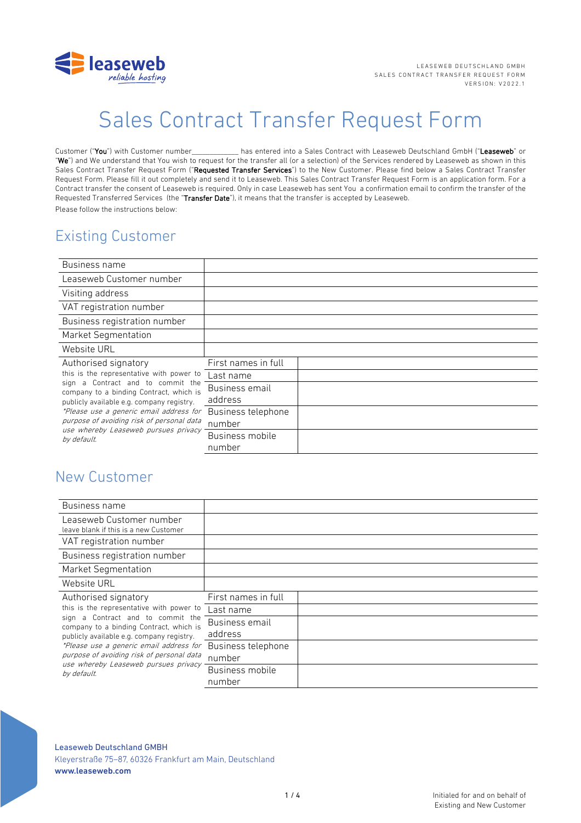

# Sales Contract Transfer Request Form

Customer ("You") with Customer number has entered into a Sales Contract with Leaseweb Deutschland GmbH ("Leaseweb" or "We") and We understand that You wish to request for the transfer all (or a selection) of the Services rendered by Leaseweb as shown in this Sales Contract Transfer Request Form ("Requested Transfer Services") to the New Customer. Please find below a Sales Contract Transfer Request Form. Please fill it out completely and send it to Leaseweb. This Sales Contract Transfer Request Form is an application form. For a Contract transfer the consent of Leaseweb is required. Only in case Leaseweb has sent You a confirmation email to confirm the transfer of the Requested Transferred Services (the "Transfer Date"), it means that the transfer is accepted by Leaseweb. Please follow the instructions below:

# Existing Customer

| Business name                                                                                                                                                                                                                                                                                                           |                     |  |
|-------------------------------------------------------------------------------------------------------------------------------------------------------------------------------------------------------------------------------------------------------------------------------------------------------------------------|---------------------|--|
| Leaseweb Customer number                                                                                                                                                                                                                                                                                                |                     |  |
| Visiting address                                                                                                                                                                                                                                                                                                        |                     |  |
| VAT registration number                                                                                                                                                                                                                                                                                                 |                     |  |
| Business registration number                                                                                                                                                                                                                                                                                            |                     |  |
| Market Segmentation                                                                                                                                                                                                                                                                                                     |                     |  |
| Website URL                                                                                                                                                                                                                                                                                                             |                     |  |
| Authorised signatory                                                                                                                                                                                                                                                                                                    | First names in full |  |
| this is the representative with power to<br>Contract and to commit the<br>sign a<br>company to a binding Contract, which is<br>publicly available e.g. company registry.<br>*Please use a generic email address for<br>purpose of avoiding risk of personal data<br>use whereby Leaseweb pursues privacy<br>by default. | Last name           |  |
|                                                                                                                                                                                                                                                                                                                         | Business email      |  |
|                                                                                                                                                                                                                                                                                                                         | address             |  |
|                                                                                                                                                                                                                                                                                                                         | Business telephone  |  |
|                                                                                                                                                                                                                                                                                                                         | number              |  |
|                                                                                                                                                                                                                                                                                                                         | Business mobile     |  |
|                                                                                                                                                                                                                                                                                                                         | number              |  |

## New Customer

| Business name                                                                                                                                                                                                                                                                                                                                |                              |  |
|----------------------------------------------------------------------------------------------------------------------------------------------------------------------------------------------------------------------------------------------------------------------------------------------------------------------------------------------|------------------------------|--|
| Leaseweb Customer number<br>leave blank if this is a new Customer                                                                                                                                                                                                                                                                            |                              |  |
| VAT registration number                                                                                                                                                                                                                                                                                                                      |                              |  |
| Business registration number                                                                                                                                                                                                                                                                                                                 |                              |  |
| <b>Market Segmentation</b>                                                                                                                                                                                                                                                                                                                   |                              |  |
| Website URL                                                                                                                                                                                                                                                                                                                                  |                              |  |
| Authorised signatory<br>this is the representative with power to<br>sign a Contract and to commit the<br>company to a binding Contract, which is<br>publicly available e.g. company registry.<br>*Please use a generic email address for<br>purpose of avoiding risk of personal data<br>use whereby Leaseweb pursues privacy<br>by default. | First names in full          |  |
|                                                                                                                                                                                                                                                                                                                                              | Last name                    |  |
|                                                                                                                                                                                                                                                                                                                                              | Business email<br>address    |  |
|                                                                                                                                                                                                                                                                                                                                              | Business telephone<br>number |  |
|                                                                                                                                                                                                                                                                                                                                              | Business mobile<br>number    |  |

#### Leaseweb Deutschland GMBH

Kleyerstraße 75-87, 60326 Frankfurt am Main, Deutschland www.leaseweb.com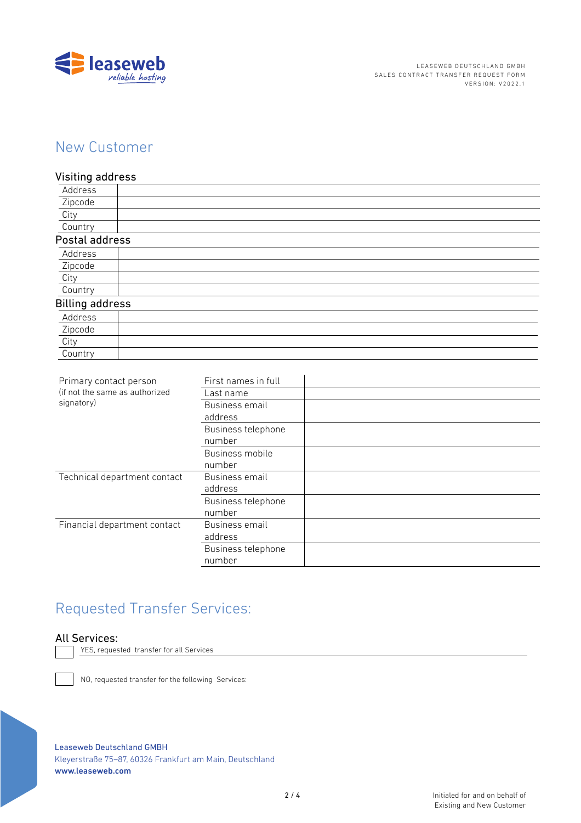

# New Customer

### Visiting address

| Address                |  |
|------------------------|--|
| Zipcode                |  |
| City                   |  |
| Country                |  |
| Postal address         |  |
| Address                |  |
| Zipcode                |  |
| City                   |  |
| Country                |  |
| <b>Billing address</b> |  |
| Address                |  |
| Zipcode                |  |
| City                   |  |
| Country                |  |

| Primary contact person<br>(if not the same as authorized<br>signatory) | First names in full |  |
|------------------------------------------------------------------------|---------------------|--|
|                                                                        | Last name           |  |
|                                                                        | Business email      |  |
|                                                                        | address             |  |
|                                                                        | Business telephone  |  |
|                                                                        | number              |  |
|                                                                        | Business mobile     |  |
|                                                                        | number              |  |
| Technical department contact                                           | Business email      |  |
|                                                                        | address             |  |
|                                                                        | Business telephone  |  |
|                                                                        | number              |  |
| Financial department contact                                           | Business email      |  |
|                                                                        | address             |  |
|                                                                        | Business telephone  |  |
|                                                                        | number              |  |
|                                                                        |                     |  |

# Requested Transfer Services:

### All Services:

YES, requested transfer for all Services

NO, requested transfer for the following Services:

Leaseweb Deutschland GMBH

Kleyerstraße 75-87, 60326 Frankfurt am Main, Deutschland www.leaseweb.com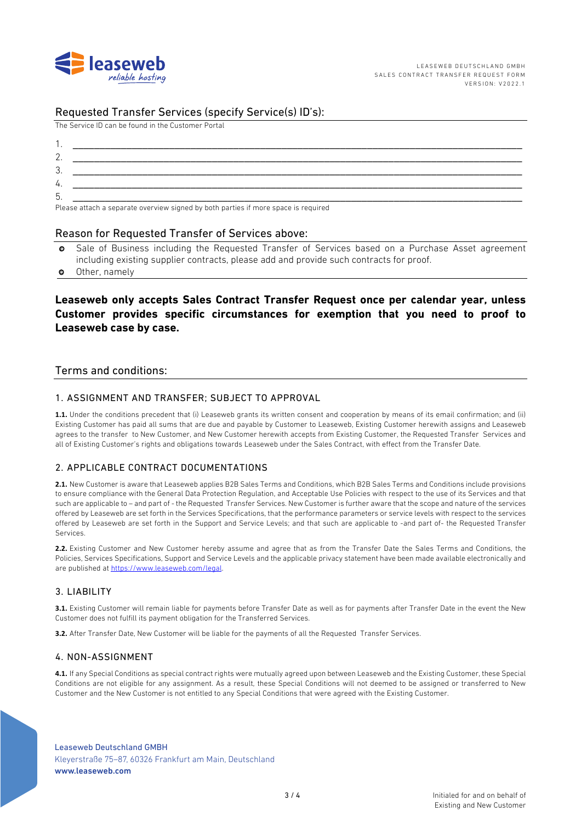

### Requested Transfer Services (specify Service(s) ID's):

The Service ID can be found in the Customer Portal

| $\sim$   |                                                                                                                                                                                                                                |
|----------|--------------------------------------------------------------------------------------------------------------------------------------------------------------------------------------------------------------------------------|
| ≏<br>. ب |                                                                                                                                                                                                                                |
| 4.       |                                                                                                                                                                                                                                |
| ს        |                                                                                                                                                                                                                                |
|          | the contract of the contract of the contract of the contract of the contract of the contract of the contract of the contract of the contract of the contract of the contract of the contract of the contract of the contract o |

Please attach a separate overview signed by both parties if more space is required

#### Reason for Requested Transfer of Services above:

- Sale of Business including the Requested Transfer of Services based on a Purchase Asset agreement  $\bullet$ including existing supplier contracts, please add and provide such contracts for proof.
- Other, namely  $\bullet$

### Leaseweb only accepts Sales Contract Transfer Request once per calendar year, unless Customer provides specific circumstances for exemption that you need to proof to Leaseweb case by case.

#### Terms and conditions:

#### 1. ASSIGNMENT AND TRANSFER: SUBJECT TO APPROVAL

1.1. Under the conditions precedent that (i) Leaseweb grants its written consent and cooperation by means of its email confirmation; and (ii) Existing Customer has paid all sums that are due and payable by Customer to Leaseweb, Existing Customer herewith assigns and Leaseweb agrees to the transfer to New Customer, and New Customer herewith accepts from Existing Customer, the Requested Transfer Services and all of Existing Customer's rights and obligations towards Leaseweb under the Sales Contract, with effect from the Transfer Date.

#### 2 APPLICABLE CONTRACT DOCUMENTATIONS

2.1. New Customer is aware that Leaseweb applies B2B Sales Terms and Conditions, which B2B Sales Terms and Conditions include provisions to ensure compliance with the General Data Protection Regulation, and Acceptable Use Policies with respect to the use of its Services and that such are applicable to - and part of - the Requested Transfer Services. New Customer is further aware that the scope and nature of the services offered by Leaseweb are set forth in the Services Specifications, that the performance parameters or service levels with respect to the services offered by Leaseweb are set forth in the Support and Service Levels; and that such are applicable to -and part of- the Requested Transfer Services

2.2. Existing Customer and New Customer hereby assume and agree that as from the Transfer Date the Sales Terms and Conditions, the Policies, Services Specifications, Support and Service Levels and the applicable privacy statement have been made available electronically and are published at https://www.leaseweb.com/legal.

#### 3. LIABILITY

3.1. Existing Customer will remain liable for payments before Transfer Date as well as for payments after Transfer Date in the event the New Customer does not fulfill its payment obligation for the Transferred Services.

3.2. After Transfer Date, New Customer will be liable for the payments of all the Requested Transfer Services.

#### 4. NON-ASSIGNMENT

4.1. If any Special Conditions as special contract rights were mutually agreed upon between Leaseweb and the Existing Customer, these Special Conditions are not eligible for any assignment. As a result, these Special Conditions will not deemed to be assigned or transferred to New Customer and the New Customer is not entitled to any Special Conditions that were agreed with the Existing Customer.

**Leaseweb Deutschland GMBH** 

Kleyerstraße 75-87, 60326 Frankfurt am Main, Deutschland www.leaseweb.com